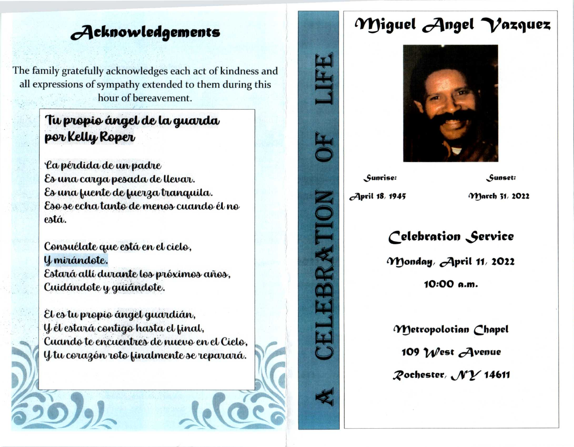## Acknowledgements

The family gratefully acknowledges each act of kindness and all expressions of sympathy extended to them during this hour of bereavement.

#### Tu propio ángel de la guarda por Kelly Roper

La pérdida de un padre Es una carga pesada de llevar. Es una fuente de fuerza tranquila. Eso se echa tanto de menos cuando él no está.

Consuélate que está en el cielo, Y mirándote. Estará allí durante los próximos años, Cuidándote y guiándote.

El es tu propio ángel guardián, Y él estará contigo hasta el final, Cuando te encuentres de nuevo en el Cielo, Y tu corazón roto finalmente se reparará.

# Miguel Angel Vazquez



Sunrise:

Sunset:

April 18, 1945

March 31, 2022

### Celebration Service

Monday, April 11, 2022 10:00 a.m.

Metropolotian Chapel 109  $W$ est  $A$ venue Pochester, NY 14611